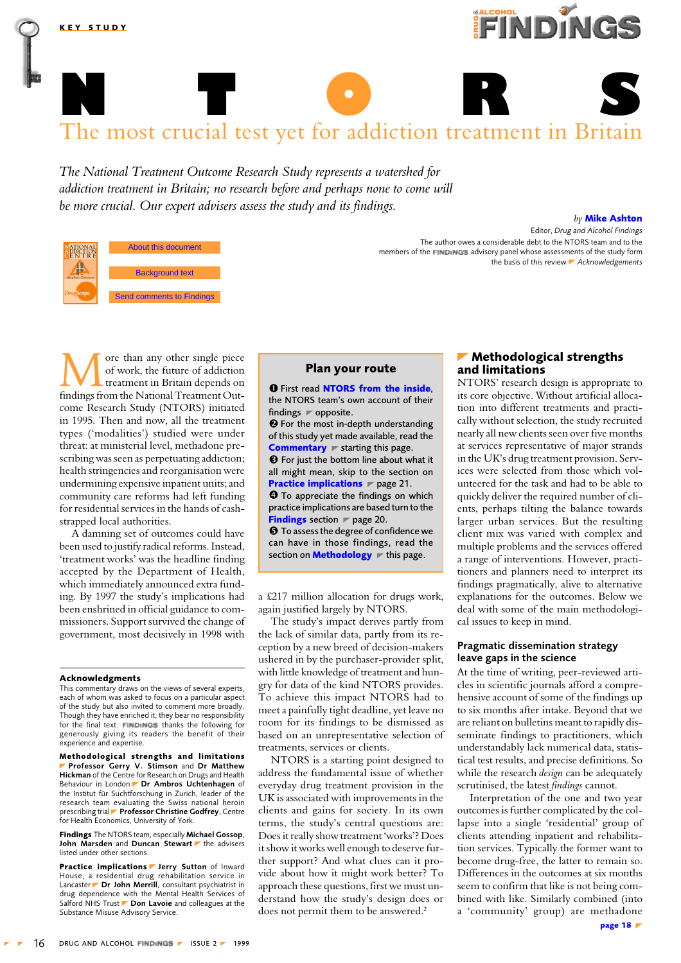<span id="page-0-0"></span>

The National Treatment Outcome Research Study represents a watershed for addiction treatment in Britain; no research before and perhaps none to come will be more crucial. Our expert advisers assess the study and its findings.

| ATIONAL<br>DDICTION<br>ENTRE | About this document<br>and the authors 1999 |
|------------------------------|---------------------------------------------|
| ohol & Concern               | <b>Background text</b>                      |
|                              |                                             |
|                              | <b>Send comments to Findings</b>            |

**KEY STUDY** 

Editor, Drug and Alcohol Findings The author owes a considerable debt to the NTORS team and to the members of the FINDINGS advisory panel whose assessments of the study form the basis of this review Acknowledgements

ore than any other single piece of work, the future of addiction treatment in Britain depends on findings from the National Treatment Outcome Research Study (NTORS) initiated in 1995. Then and now, all the treatment types ('modalities') studied were under threat: at ministerial level, methadone prescribing was seen as perpetuating addiction; health stringencies and reorganisation were undermining expensive inpatient units; and community care reforms had left funding for residential services in the hands of cashstrapped local authorities.

A damning set of outcomes could have been used to justify radical reforms. Instead, 'treatment works' was the headline finding accepted by the Department of Health, which immediately announced extra funding. By 1997 the study's implications had been enshrined in official guidance to commissioners. Support survived the change of government, most decisively in 1998 with

#### **Acknowledgments**

This commentary draws on the views of several experts,<br>each of whom was asked to focus on a particular aspect of the study but also invited to comment more broadly. Though they have enriched it, they bear no responsibility for the final text. FINDINGS thanks the following for generously giving its readers the benefit of their experience and expertise.

Methodological strengths and limitations Professor Gerry V. Stimson and Dr Matthew Hickman of the Centre for Research on Drugs and Health Behaviour in London Dr Ambros Uchtenhagen of the Institut für Suchtforschung in Zurich, leader of the research team evaluating the Swiss national heroin prescribing trial Professor Christine Godfrey, Centre for Health Economics, University of York

Findings The NTORS team, especially Michael Gossop, John Marsden and Duncan Stewart he advisers listed under other sections

Practice implications I Jerry Sutton of Inward House, a residential drug rehabilitation service in Lancaster Dr John Merrill, consultant psychiatrist in drug dependence with the Mental Health Services of<br>Salford NHS Trust **Don Lavoie** and colleagues at the Substance Misuse Advisory Service.

# Plan your route

**O** First read NTORS from the inside. the NTORS team's own account of their findings  $\blacktriangleright$  opposite. <sup>0</sup> For the most in-depth understanding of this study yet made available, read the **Commentary**  $\blacktriangleright$  starting this page. **8** For just the bottom line about what it all might mean, skip to the section on **Practice implications**  $\blacktriangleright$  page 21. **O** To appreciate the findings on which practice implications are based turn to the **Findings** section  $\blacktriangleright$  page 20. **O** To assess the degree of confidence we can have in those findings, read the

a £217 million allocation for drugs work, again justified largely by NTORS.

section on **Methodology**  $\blacktriangleright$  this page.

The study's impact derives partly from the lack of similar data, partly from its reception by a new breed of decision-makers ushered in by the purchaser-provider split, with little knowledge of treatment and hungry for data of the kind NTORS provides. To achieve this impact NTORS had to meet a painfully tight deadline, yet leave no room for its findings to be dismissed as based on an unrepresentative selection of treatments, services or clients.

NTORS is a starting point designed to address the fundamental issue of whether everyday drug treatment provision in the UK is associated with improvements in the clients and gains for society. In its own terms, the study's central questions are: Does it really show treatment 'works'? Does it show it works well enough to deserve further support? And what clues can it provide about how it might work better? To approach these questions, first we must understand how the study's design does or does not permit them to be answered.<sup>2</sup>

# Methodological strengths and limitations

by Mike Ashton

FINDING

NTORS' research design is appropriate to its core objective. Without artificial allocation into different treatments and practically without selection, the study recruited nearly all new clients seen over five months at services representative of major strands in the UK's drug treatment provision. Services were selected from those which volunteered for the task and had to be able to quickly deliver the required number of clients, perhaps tilting the balance towards larger urban services. But the resulting client mix was varied with complex and multiple problems and the services offered a range of interventions. However, practitioners and planners need to interpret its findings pragmatically, alive to alternative explanations for the outcomes. Below we deal with some of the main methodological issues to keep in mind.

# Pragmatic dissemination strategy leave gaps in the science

At the time of writing, peer-reviewed articles in scientific journals afford a comprehensive account of some of the findings up to six months after intake. Beyond that we are reliant on bulletins meant to rapidly disseminate findings to practitioners, which understandably lack numerical data, statistical test results, and precise definitions. So while the research *design* can be adequately scrutinised, the latest findings cannot.

Interpretation of the one and two year outcomes is further complicated by the collapse into a single 'residential' group of clients attending inpatient and rehabilitation services. Typically the former want to become drug-free, the latter to remain so. Differences in the outcomes at six months seem to confirm that like is not being combined with like. Similarly combined (into a 'community' group) are methadone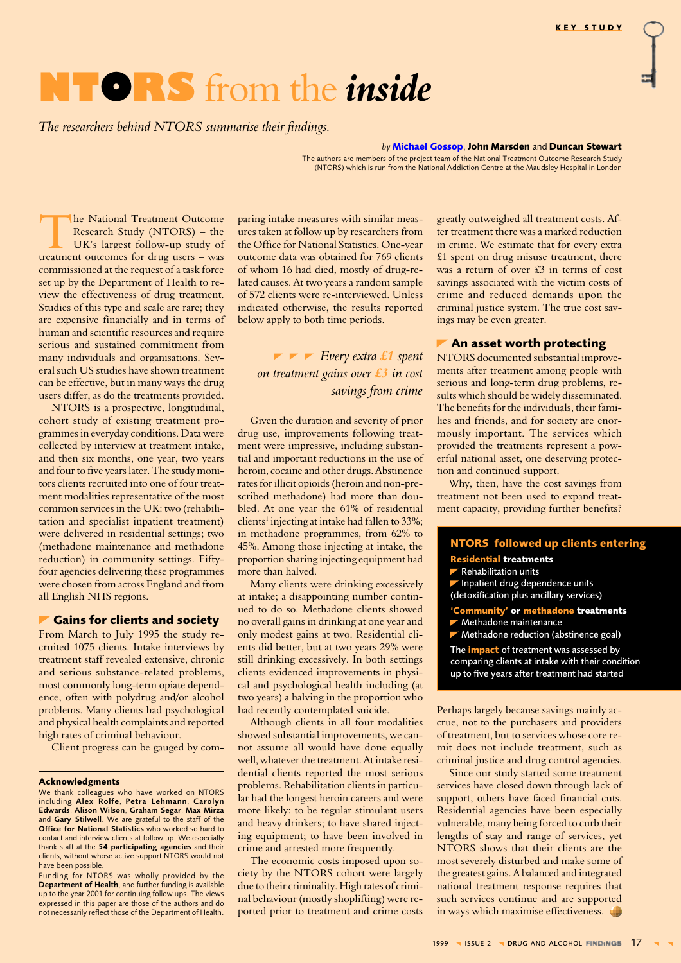# <span id="page-1-0"></span>NTORS from the *inside*

The researchers behind NTORS summarise their findings.

#### by Michael Gossop, John Marsden and Duncan Stewart

The authors are members of the project team of the National Treatment Outcome Research Study (NTORS) which is run from the National Addiction Centre at the Maudsley Hospital in London

he National Treatment Outcome Research Study (NTORS) - the UK's largest follow-up study of treatment outcomes for drug users - was commissioned at the request of a task force set up by the Department of Health to review the effectiveness of drug treatment. Studies of this type and scale are rare; they are expensive financially and in terms of human and scientific resources and require serious and sustained commitment from many individuals and organisations. Several such US studies have shown treatment can be effective, but in many ways the drug users differ, as do the treatments provided.

NTORS is a prospective, longitudinal, cohort study of existing treatment programmes in everyday conditions. Data were collected by interview at treatment intake, and then six months, one year, two years and four to five years later. The study monitors clients recruited into one of four treatment modalities representative of the most common services in the UK: two (rehabilitation and specialist inpatient treatment) were delivered in residential settings: two (methadone maintenance and methadone reduction) in community settings. Fiftyfour agencies delivering these programmes were chosen from across England and from all English NHS regions.

# Gains for clients and society

From March to July 1995 the study recruited 1075 clients. Intake interviews by treatment staff revealed extensive, chronic and serious substance-related problems, most commonly long-term opiate dependence, often with polydrug and/or alcohol problems. Many clients had psychological and physical health complaints and reported high rates of criminal behaviour.

Client progress can be gauged by com-

#### **Acknowledgments**

We thank colleagues who have worked on NTORS including Alex Rolfe, Petra Lehmann, Carolyn<br>Edwards, Alison Wilson, Graham Segar, Max Mirza and Gary Stilwell. We are grateful to the staff of the Office for National Statistics who worked so hard to contact and interview clients at follow up. We especially thank staff at the 54 participating agencies and their clients, without whose active support NTORS would not have been possible.

Funding for NTORS was wholly provided by the Department of Health, and further funding is available up to the year 2001 for continuing follow ups. The views<br>expressed in this paper are those of the authors and do not necessarily reflect those of the Department of Health.

paring intake measures with similar measures taken at follow up by researchers from the Office for National Statistics. One-year outcome data was obtained for 769 clients of whom 16 had died, mostly of drug-related causes. At two years a random sample of 572 clients were re-interviewed. Unless indicated otherwise, the results reported below apply to both time periods.

 $\blacktriangleright$   $\blacktriangleright$  Every extra £1 spent on treatment gains over  $£3$  in cost savings from crime

Given the duration and severity of prior drug use, improvements following treatment were impressive, including substantial and important reductions in the use of heroin, cocaine and other drugs. Abstinence rates for illicit opioids (heroin and non-prescribed methadone) had more than doubled. At one year the 61% of residential clients<sup>1</sup> injecting at intake had fallen to 33%; in methadone programmes, from 62% to 45%. Among those injecting at intake, the proportion sharing injecting equipment had more than halved.

Many clients were drinking excessively at intake; a disappointing number continued to do so. Methadone clients showed no overall gains in drinking at one year and only modest gains at two. Residential clients did better, but at two years 29% were still drinking excessively. In both settings clients evidenced improvements in physical and psychological health including (at two years) a halving in the proportion who had recently contemplated suicide.

Although clients in all four modalities showed substantial improvements, we cannot assume all would have done equally well, whatever the treatment. At intake residential clients reported the most serious problems. Rehabilitation clients in particular had the longest heroin careers and were more likely: to be regular stimulant users and heavy drinkers; to have shared injecting equipment; to have been involved in crime and arrested more frequently.

The economic costs imposed upon society by the NTORS cohort were largely due to their criminality. High rates of criminal behaviour (mostly shoplifting) were reported prior to treatment and crime costs greatly outweighed all treatment costs. After treatment there was a marked reduction in crime. We estimate that for every extra £1 spent on drug misuse treatment, there was a return of over £3 in terms of cost savings associated with the victim costs of crime and reduced demands upon the criminal justice system. The true cost savings may be even greater.

# An asset worth protecting

NTORS documented substantial improvements after treatment among people with serious and long-term drug problems, results which should be widely disseminated. The benefits for the individuals, their families and friends, and for society are enormously important. The services which provided the treatments represent a powerful national asset, one deserving protection and continued support.

Why, then, have the cost savings from treatment not been used to expand treatment capacity, providing further benefits?

# **NTORS** followed up clients entering **Residential treatments**

Rehabilitation units

- Inpatient drug dependence units
- (detoxification plus ancillary services)

iommunity' or methadone treatments<br>Methadone maintenance

Methadone reduction (abstinence goal) The impact of treatment was assessed by comparing clients at intake with their condition up to five years after treatment had started

Perhaps largely because savings mainly accrue, not to the purchasers and providers of treatment, but to services whose core remit does not include treatment, such as criminal justice and drug control agencies.

Since our study started some treatment services have closed down through lack of support, others have faced financial cuts. Residential agencies have been especially vulnerable, many being forced to curb their lengths of stay and range of services, yet NTORS shows that their clients are the most severely disturbed and make some of the greatest gains. A balanced and integrated national treatment response requires that such services continue and are supported in ways which maximise effectiveness.

1999 VISSUE 2 VIDRUG AND ALCOHOL FINDINGS 17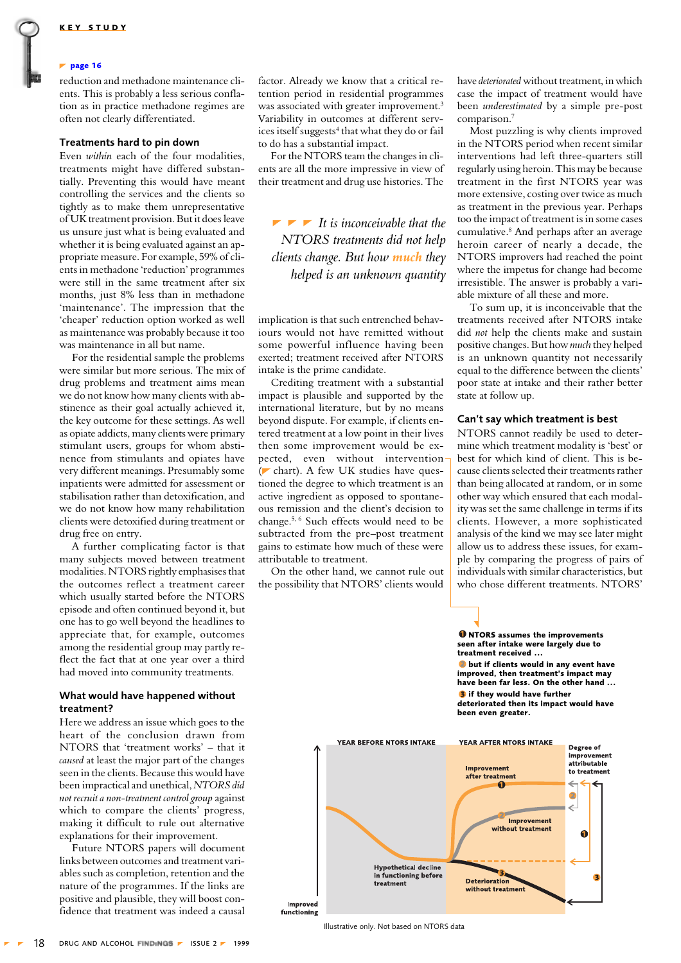#### <span id="page-2-0"></span> $\blacktriangleright$  page 16

reduction and methadone maintenance clients. This is probably a less serious conflation as in practice methadone regimes are often not clearly differentiated.

# Treatments hard to pin down

Even within each of the four modalities. treatments might have differed substantially. Preventing this would have meant controlling the services and the clients so tightly as to make them unrepresentative of UK treatment provision. But it does leave us unsure just what is being evaluated and whether it is being evaluated against an appropriate measure. For example, 59% of clients in methadone 'reduction' programmes were still in the same treatment after six months, just 8% less than in methadone 'maintenance'. The impression that the 'cheaper' reduction option worked as well as maintenance was probably because it too was maintenance in all but name.

For the residential sample the problems were similar but more serious. The mix of drug problems and treatment aims mean we do not know how many clients with abstinence as their goal actually achieved it, the key outcome for these settings. As well as opiate addicts, many clients were primary stimulant users, groups for whom abstinence from stimulants and opiates have very different meanings. Presumably some inpatients were admitted for assessment or stabilisation rather than detoxification, and we do not know how many rehabilitation clients were detoxified during treatment or drug free on entry.

A further complicating factor is that many subjects moved between treatment modalities. NTORS rightly emphasises that the outcomes reflect a treatment career which usually started before the NTORS episode and often continued beyond it, but one has to go well beyond the headlines to appreciate that, for example, outcomes among the residential group may partly reflect the fact that at one year over a third had moved into community treatments.

## What would have happened without treatment?

Here we address an issue which goes to the heart of the conclusion drawn from NTORS that 'treatment works' - that it caused at least the major part of the changes seen in the clients. Because this would have been impractical and unethical, NTORS did not recruit a non-treatment control group against which to compare the clients' progress, making it difficult to rule out alternative explanations for their improvement.

Future NTORS papers will document links between outcomes and treatment variables such as completion, retention and the nature of the programmes. If the links are positive and plausible, they will boost confidence that treatment was indeed a causal factor. Already we know that a critical retention period in residential programmes was associated with greater improvement.<sup>3</sup> Variability in outcomes at different services itself suggests<sup>4</sup> that what they do or fail to do has a substantial impact.

For the NTORS team the changes in clients are all the more impressive in view of their treatment and drug use histories. The

 $\blacktriangleright$   $\blacktriangleright$  It is inconceivable that the NTORS treatments did not help clients change. But how much they helped is an unknown quantity

implication is that such entrenched behaviours would not have remitted without some powerful influence having been exerted; treatment received after NTORS intake is the prime candidate.

Crediting treatment with a substantial impact is plausible and supported by the international literature, but by no means bevond dispute. For example, if clients entered treatment at a low point in their lives then some improvement would be expected, even without intervention (chart). A few UK studies have questioned the degree to which treatment is an active ingredient as opposed to spontaneous remission and the client's decision to change.<sup>5, 6</sup> Such effects would need to be subtracted from the pre-post treatment gains to estimate how much of these were attributable to treatment.

On the other hand, we cannot rule out the possibility that NTORS' clients would have deteriorated without treatment, in which case the impact of treatment would have been underestimated by a simple pre-post comparison.<sup>7</sup>

Most puzzling is why clients improved in the NTORS period when recent similar interventions had left three-quarters still regularly using heroin. This may be because treatment in the first NTORS year was more extensive, costing over twice as much as treatment in the previous year. Perhaps too the impact of treatment is in some cases cumulative.<sup>8</sup> And perhaps after an average heroin career of nearly a decade, the NTORS improvers had reached the point where the impetus for change had become irresistible. The answer is probably a variable mixture of all these and more.

To sum up, it is inconceivable that the treatments received after NTORS intake did not help the clients make and sustain positive changes. But how much they helped is an unknown quantity not necessarily equal to the difference between the clients' poor state at intake and their rather better state at follow up.

# Can't say which treatment is best

NTORS cannot readily be used to determine which treatment modality is 'best' or best for which kind of client. This is because clients selected their treatments rather than being allocated at random, or in some other way which ensured that each modality was set the same challenge in terms if its clients. However, a more sophisticated analysis of the kind we may see later might allow us to address these issues, for example by comparing the progress of pairs of individuals with similar characteristics, but who chose different treatments. NTORS'

**O** NTORS assumes the improvements seen after intake were largely due to

**O** but if clients would in any event have

treatment received



Illustrative only. Not based on NTORS data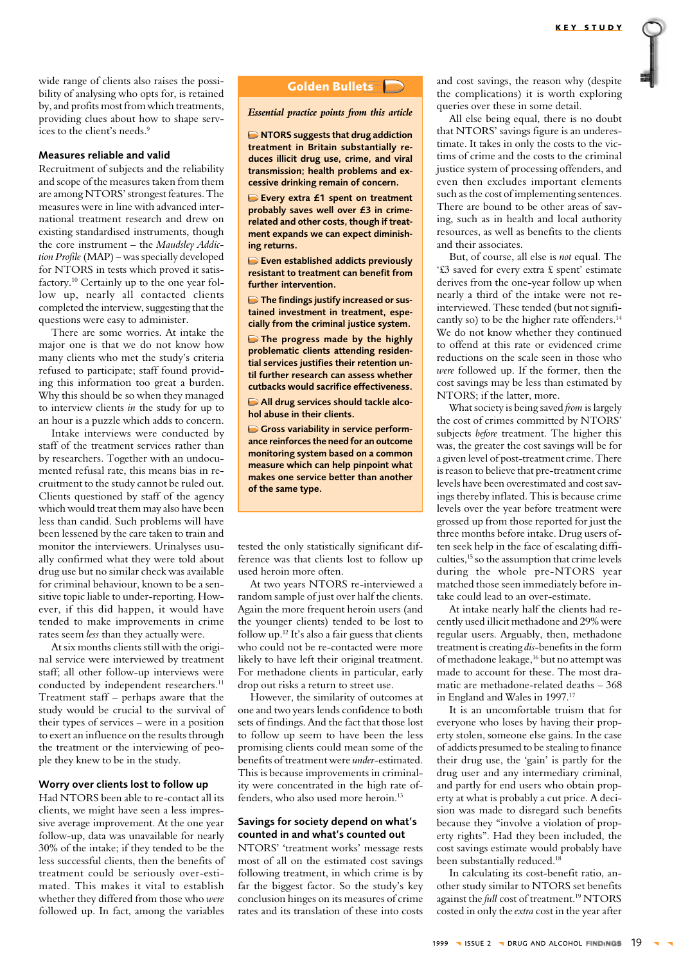wide range of clients also raises the possibility of analysing who opts for, is retained by, and profits most from which treatments, providing clues about how to shape services to the client's needs.<sup>9</sup>

## Measures reliable and valid

Recruitment of subjects and the reliability and scope of the measures taken from them are among NTORS' strongest features. The measures were in line with advanced international treatment research and drew on existing standardised instruments, though the core instrument - the Maudsley Addiction Profile (MAP) – was specially developed for NTORS in tests which proved it satisfactory.<sup>10</sup> Certainly up to the one year follow up, nearly all contacted clients completed the interview, suggesting that the questions were easy to administer.

There are some worries. At intake the major one is that we do not know how many clients who met the study's criteria refused to participate; staff found providing this information too great a burden. Why this should be so when they managed to interview clients in the study for up to an hour is a puzzle which adds to concern.

Intake interviews were conducted by staff of the treatment services rather than by researchers. Together with an undocumented refusal rate, this means bias in recruitment to the study cannot be ruled out. Clients questioned by staff of the agency which would treat them may also have been less than candid. Such problems will have been lessened by the care taken to train and monitor the interviewers. Urinalyses usually confirmed what they were told about drug use but no similar check was available for criminal behaviour, known to be a sensitive topic liable to under-reporting. However, if this did happen, it would have tended to make improvements in crime rates seem less than they actually were.

At six months clients still with the original service were interviewed by treatment staff; all other follow-up interviews were conducted by independent researchers.<sup>11</sup> Treatment staff - perhaps aware that the study would be crucial to the survival of their types of services – were in a position to exert an influence on the results through the treatment or the interviewing of people they knew to be in the study.

# Worry over clients lost to follow up

Had NTORS been able to re-contact all its clients, we might have seen a less impressive average improvement. At the one year follow-up, data was unavailable for nearly 30% of the intake; if they tended to be the less successful clients, then the benefits of treatment could be seriously over-estimated. This makes it vital to establish whether they differed from those who were followed up. In fact, among the variables

# Golden Bullets

## Essential practice points from this article

NTORS suggests that drug addiction treatment in Britain substantially reduces illicit drug use, crime, and viral transmission; health problems and excessive drinking remain of concern.

Every extra £1 spent on treatment probably saves well over £3 in crimerelated and other costs, though if treatment expands we can expect diminishing returns.

Even established addicts previously resistant to treatment can benefit from further intervention.

The findings justify increased or sustained investment in treatment, especially from the criminal justice system.

 $\Box$  The progress made by the highly problematic clients attending residential services justifies their retention until further research can assess whether cuthacks would sacrifice effectiveness

All drug services should tackle alcohol abuse in their clients.

Gross variability in service performance reinforces the need for an outcome monitoring system based on a common measure which can help pinpoint what makes one service better than another of the same type.

tested the only statistically significant difference was that clients lost to follow up used heroin more often.

At two years NTORS re-interviewed a random sample of just over half the clients. Again the more frequent heroin users (and the younger clients) tended to be lost to follow up.<sup>12</sup> It's also a fair guess that clients who could not be re-contacted were more likely to have left their original treatment. For methadone clients in particular, early drop out risks a return to street use.

However, the similarity of outcomes at one and two years lends confidence to both sets of findings. And the fact that those lost to follow up seem to have been the less promising clients could mean some of the benefits of treatment were under-estimated. This is because improvements in criminality were concentrated in the high rate offenders, who also used more heroin.<sup>13</sup>

# Savings for society depend on what's counted in and what's counted out

NTORS' 'treatment works' message rests most of all on the estimated cost savings following treatment, in which crime is by far the biggest factor. So the study's key conclusion hinges on its measures of crime rates and its translation of these into costs and cost savings, the reason why (despite the complications) it is worth exploring queries over these in some detail.

All else being equal, there is no doubt that NTORS' savings figure is an underestimate. It takes in only the costs to the victims of crime and the costs to the criminal justice system of processing offenders, and even then excludes important elements such as the cost of implementing sentences. There are bound to be other areas of saving, such as in health and local authority resources, as well as benefits to the clients and their associates.

But, of course, all else is not equal. The '£3 saved for every extra £ spent' estimate derives from the one-year follow up when nearly a third of the intake were not reinterviewed. These tended (but not significantly so) to be the higher rate offenders.<sup>14</sup> We do not know whether they continued to offend at this rate or evidenced crime reductions on the scale seen in those who were followed up. If the former, then the cost savings may be less than estimated by NTORS; if the latter, more.

What society is being saved from is largely the cost of crimes committed by NTORS' subjects before treatment. The higher this was, the greater the cost savings will be for a given level of post-treatment crime. There is reason to believe that pre-treatment crime levels have been overestimated and cost savings thereby inflated. This is because crime levels over the year before treatment were grossed up from those reported for just the three months before intake. Drug users often seek help in the face of escalating difficulties,<sup>15</sup> so the assumption that crime levels during the whole pre-NTORS year matched those seen immediately before intake could lead to an over-estimate.

At intake nearly half the clients had recently used illicit methadone and 29% were regular users. Arguably, then, methadone treatment is creating dis-benefits in the form of methadone leakage,<sup>16</sup> but no attempt was made to account for these. The most dramatic are methadone-related deaths - 368 in England and Wales in 1997.<sup>17</sup>

It is an uncomfortable truism that for everyone who loses by having their property stolen, someone else gains. In the case of addicts presumed to be stealing to finance their drug use, the 'gain' is partly for the drug user and any intermediary criminal, and partly for end users who obtain property at what is probably a cut price. A decision was made to disregard such benefits because they "involve a violation of property rights". Had they been included, the cost savings estimate would probably have been substantially reduced.<sup>18</sup>

In calculating its cost-benefit ratio, another study similar to NTORS set benefits against the full cost of treatment.<sup>19</sup> NTORS costed in only the *extra* cost in the year after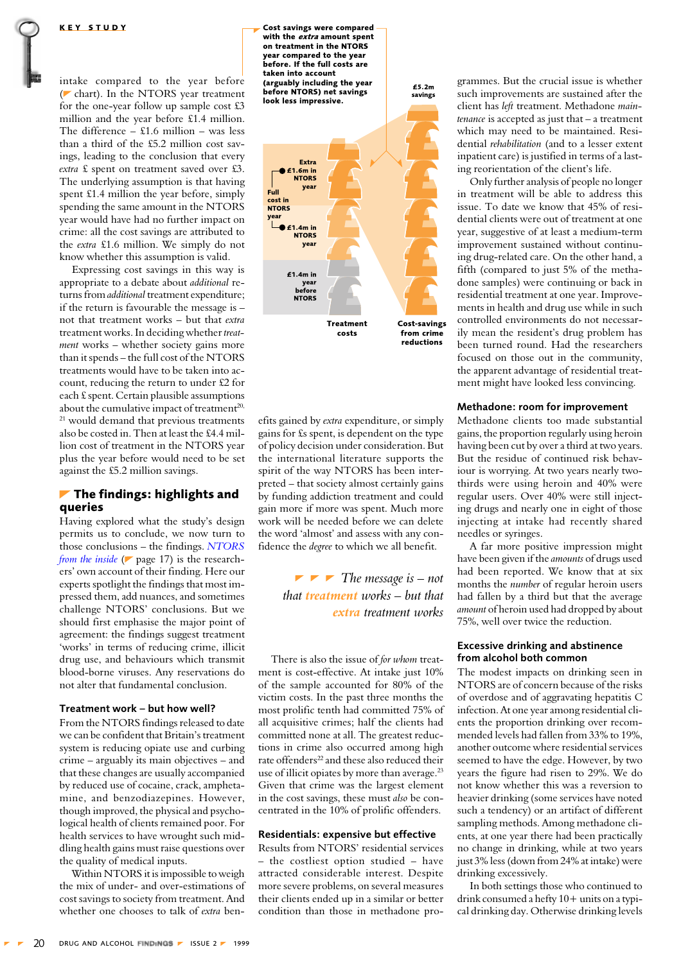<span id="page-4-0"></span>intake compared to the year before (chart). In the NTORS year treatment for the one-year follow up sample cost £3 million and the year before £1.4 million. The difference  $-$  £1.6 million  $-$  was less than a third of the £5.2 million cost savings, leading to the conclusion that every extra £ spent on treatment saved over £3. The underlying assumption is that having spent £1.4 million the year before, simply spending the same amount in the NTORS year would have had no further impact on crime: all the cost savings are attributed to the extra £1.6 million. We simply do not know whether this assumption is valid.

Expressing cost savings in this way is appropriate to a debate about additional returns from additional treatment expenditure; if the return is favourable the message is not that treatment works - but that extra treatment works. In deciding whether treatment works - whether society gains more than it spends - the full cost of the NTORS treatments would have to be taken into account, reducing the return to under £2 for each £ spent. Certain plausible assumptions about the cumulative impact of treatment<sup>20,</sup> <sup>21</sup> would demand that previous treatments also be costed in. Then at least the £4.4 million cost of treatment in the NTORS year plus the year before would need to be set against the £5.2 million savings.

# $\blacktriangleright$  The findings: highlights and queries

Having explored what the study's design permits us to conclude, we now turn to those conclusions  $-$  the findings. NTORS from the inside ( $\blacktriangleright$  page 17) is the researchers' own account of their finding. Here our experts spotlight the findings that most impressed them, add nuances, and sometimes challenge NTORS' conclusions. But we should first emphasise the major point of agreement: the findings suggest treatment 'works' in terms of reducing crime, illicit drug use, and behaviours which transmit blood-borne viruses. Any reservations do not alter that fundamental conclusion

#### Treatment work - but how well?

From the NTORS findings released to date we can be confident that Britain's treatment system is reducing opiate use and curbing crime – arguably its main objectives – and that these changes are usually accompanied by reduced use of cocaine, crack, amphetamine, and benzodiazepines. However, though improved, the physical and psychological health of clients remained poor. For health services to have wrought such middling health gains must raise questions over the quality of medical inputs.

Within NTORS it is impossible to weigh the mix of under- and over-estimations of cost savings to society from treatment. And whether one chooses to talk of extra ben-

Cost savings were compared with the extra smount snent on treatment in the NTORS year compared to the year<br>before. If the full costs are taken into account (arguably including the year before NTORS) net savings look less impressive.



£5.2m

savings

efits gained by *extra* expenditure, or simply gains for £s spent, is dependent on the type of policy decision under consideration. But the international literature supports the spirit of the way NTORS has been interpreted – that society almost certainly gains by funding addiction treatment and could gain more if more was spent. Much more work will be needed before we can delete the word 'almost' and assess with any confidence the *degree* to which we all benefit.

> $\blacktriangleright$   $\blacktriangleright$  The message is – not that treatment works – but that extra treatment works

There is also the issue of for whom treatment is cost-effective. At intake just 10% of the sample accounted for 80% of the victim costs. In the past three months the most prolific tenth had committed 75% of all acquisitive crimes; half the clients had committed none at all. The greatest reductions in crime also occurred among high rate offenders<sup>22</sup> and these also reduced their use of illicit opiates by more than average.<sup>23</sup> Given that crime was the largest element in the cost savings, these must also be concentrated in the 10% of prolific offenders.

# Residentials: expensive but effective

Results from NTORS' residential services - the costliest option studied - have attracted considerable interest. Despite more severe problems, on several measures their clients ended up in a similar or better condition than those in methadone programmes. But the crucial issue is whether such improvements are sustained after the client has left treatment. Methadone main $t$ enance is accepted as just that  $-$  a treatment which may need to be maintained. Residential rehabilitation (and to a lesser extent inpatient care) is justified in terms of a lasting reorientation of the client's life.

Only further analysis of people no longer in treatment will be able to address this issue. To date we know that 45% of residential clients were out of treatment at one year, suggestive of at least a medium-term improvement sustained without continuing drug-related care. On the other hand, a fifth (compared to just 5% of the methadone samples) were continuing or back in residential treatment at one year. Improvements in health and drug use while in such controlled environments do not necessarily mean the resident's drug problem has been turned round. Had the researchers focused on those out in the community, the apparent advantage of residential treatment might have looked less convincing.

## Methadone: room for improvement

Methadone clients too made substantial gains, the proportion regularly using heroin having been cut by over a third at two years. But the residue of continued risk behaviour is worrying. At two years nearly twothirds were using heroin and 40% were regular users. Over 40% were still injecting drugs and nearly one in eight of those injecting at intake had recently shared needles or syringes.

A far more positive impression might have been given if the amounts of drugs used had been reported. We know that at six months the *number* of regular heroin users had fallen by a third but that the average amount of heroin used had dropped by about 75%, well over twice the reduction.

# **Excessive drinking and abstinence** from alcohol both common

The modest impacts on drinking seen in NTORS are of concern because of the risks of overdose and of aggravating hepatitis C infection. At one year among residential clients the proportion drinking over recommended levels had fallen from 33% to 19%, another outcome where residential services seemed to have the edge. However, by two years the figure had risen to 29%. We do not know whether this was a reversion to heavier drinking (some services have noted such a tendency) or an artifact of different sampling methods. Among methadone clients, at one year there had been practically no change in drinking, while at two years just 3% less (down from 24% at intake) were drinking excessively.

In both settings those who continued to drink consumed a hefty  $10+$  units on a typical drinking day. Otherwise drinking levels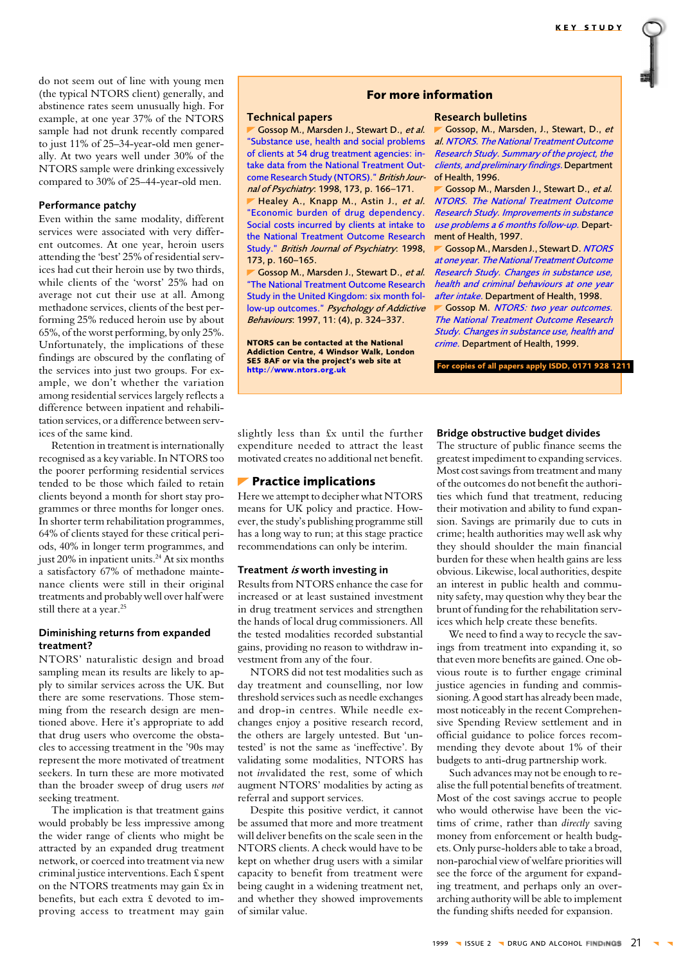<span id="page-5-0"></span>do not seem out of line with young men (the typical NTORS client) generally, and abstinence rates seem unusually high. For example, at one year 37% of the NTORS sample had not drunk recently compared to just 11% of 25-34-year-old men generally. At two years well under 30% of the NTORS sample were drinking excessively compared to 30% of 25-44-year-old men.

# Performance patchy

Even within the same modality, different services were associated with very different outcomes. At one year, heroin users attending the 'best' 25% of residential services had cut their heroin use by two thirds, while clients of the 'worst' 25% had on average not cut their use at all. Among methadone services, clients of the best performing 25% reduced heroin use by about 65%, of the worst performing, by only 25%. Unfortunately, the implications of these findings are obscured by the conflating of the services into just two groups. For example, we don't whether the variation among residential services largely reflects a difference between inpatient and rehabilitation services, or a difference between services of the same kind.

Retention in treatment is internationally recognised as a key variable. In NTORS too the poorer performing residential services tended to be those which failed to retain clients beyond a month for short stay programmes or three months for longer ones. In shorter term rehabilitation programmes, 64% of clients stayed for these critical periods, 40% in longer term programmes, and just 20% in inpatient units.<sup>24</sup> At six months a satisfactory 67% of methadone maintenance clients were still in their original treatments and probably well over half were still there at a year.<sup>25</sup>

# Diminishing returns from expanded treatment?

NTORS' naturalistic design and broad sampling mean its results are likely to apply to similar services across the UK. But there are some reservations. Those stemming from the research design are mentioned above. Here it's appropriate to add that drug users who overcome the obstacles to accessing treatment in the '90s may represent the more motivated of treatment seekers. In turn these are more motivated than the broader sweep of drug users not seeking treatment.

The implication is that treatment gains would probably be less impressive among the wider range of clients who might be attracted by an expanded drug treatment network, or coerced into treatment via new criminal justice interventions. Each £ spent on the NTORS treatments may gain £x in benefits, but each extra £ devoted to improving access to treatment may gain

# For more information

# **Technical papers**

Gossop M., Marsden J., Stewart D., et al. "Substance use, health and social problems of clients at 54 drug treatment agencies: intake data from the National Treatment Outcome Research Study (NTORS)." British Journal of Psychiatry: 1998, 173, p. 166-171.

Healey A., Knapp M., Astin J., et al. "Economic burden of drug dependency. Social costs incurred by clients at intake to the National Treatment Outcome Research Study." British Journal of Psychiatry: 1998, 173, p. 160-165.

Gossop M., Marsden J., Stewart D., et al. "The National Treatment Outcome Research Study in the United Kingdom: six month follow-up outcomes." Psychology of Addictive Behaviours: 1997, 11: (4), p. 324-337.

NTORS can be contacted at the National Addiction Centre, 4 Windsor Walk, London<br>SE5 8AF or via the project's web site at http://www.ntors.org.uk

## **Research bulletins**

Gossop, M., Marsden, J., Stewart, D., et al. NTORS. The National Treatment Outcome Research Study. Summary of the project, the clients, and preliminary findings. Department of Health. 1996.

Gossop M., Marsden J., Stewart D., et al. NTORS. The National Treatment Outcome Research Study. Improvements in substance use problems a 6 months follow-up. Department of Health, 1997.

Gossop M., Marsden J., Stewart D. NTORS at one year. The National Treatment Outcome Research Study. Changes in substance use, health and criminal behaviours at one year after intake. Department of Health, 1998.

Gossop M. NTORS: two year outcomes. The National Treatment Outcome Research Study. Changes in substance use, health and crime. Department of Health, 1999.

For copies of all papers apply ISDD, 0171 928 1211

# slightly less than £x until the further expenditure needed to attract the least motivated creates no additional net benefit.

# **Practice implications**

Here we attempt to decipher what NTORS means for UK policy and practice. However, the study's publishing programme still has a long way to run; at this stage practice recommendations can only be interim.

# Treatment is worth investing in

Results from NTORS enhance the case for increased or at least sustained investment in drug treatment services and strengthen the hands of local drug commissioners. All the tested modalities recorded substantial gains, providing no reason to withdraw investment from any of the four.

NTORS did not test modalities such as day treatment and counselling, nor low threshold services such as needle exchanges and drop-in centres. While needle exchanges enjoy a positive research record, the others are largely untested. But 'untested' is not the same as 'ineffective'. By validating some modalities, NTORS has not invalidated the rest, some of which augment NTORS' modalities by acting as referral and support services.

Despite this positive verdict, it cannot be assumed that more and more treatment will deliver benefits on the scale seen in the NTORS clients. A check would have to be kept on whether drug users with a similar capacity to benefit from treatment were being caught in a widening treatment net, and whether they showed improvements of similar value.

#### Bridge obstructive budget divides

The structure of public finance seems the greatest impediment to expanding services. Most cost savings from treatment and many of the outcomes do not benefit the authorities which fund that treatment, reducing their motivation and ability to fund expansion. Savings are primarily due to cuts in crime: health authorities may well ask why they should shoulder the main financial burden for these when health gains are less obvious. Likewise, local authorities, despite an interest in public health and community safety, may question why they bear the brunt of funding for the rehabilitation services which help create these benefits.

We need to find a way to recycle the savings from treatment into expanding it, so that even more benefits are gained. One obvious route is to further engage criminal justice agencies in funding and commissioning. A good start has already been made, most noticeably in the recent Comprehensive Spending Review settlement and in official guidance to police forces recommending they devote about 1% of their budgets to anti-drug partnership work.

Such advances may not be enough to realise the full potential benefits of treatment. Most of the cost savings accrue to people who would otherwise have been the victims of crime, rather than *directly* saving money from enforcement or health budgets. Only purse-holders able to take a broad, non-parochial view of welfare priorities will see the force of the argument for expanding treatment, and perhaps only an overarching authority will be able to implement the funding shifts needed for expansion.